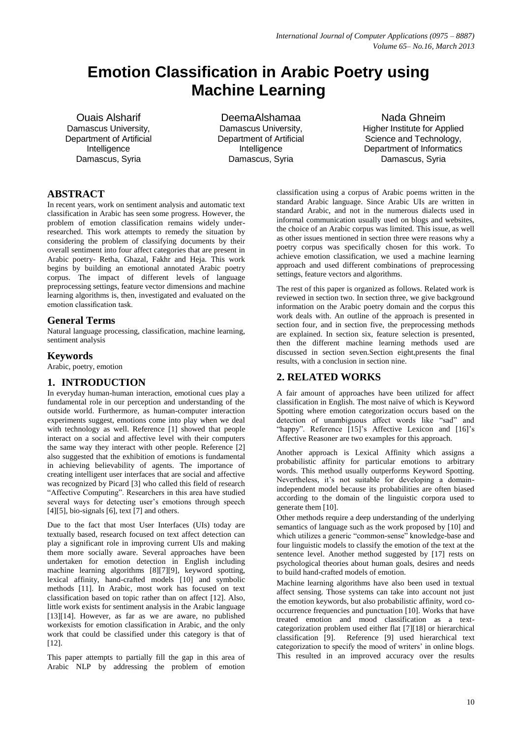# **Emotion Classification in Arabic Poetry using Machine Learning**

Ouais Alsharif Damascus University, Department of Artificial Intelligence Damascus, Syria

DeemaAlshamaa Damascus University, Department of Artificial Intelligence Damascus, Syria

Nada Ghneim Higher Institute for Applied Science and Technology, Department of Informatics Damascus, Syria

# **ABSTRACT**

In recent years, work on sentiment analysis and automatic text classification in Arabic has seen some progress. However, the problem of emotion classification remains widely underresearched. This work attempts to remedy the situation by considering the problem of classifying documents by their overall sentiment into four affect categories that are present in Arabic poetry- Retha, Ghazal, Fakhr and Heja. This work begins by building an emotional annotated Arabic poetry corpus. The impact of different levels of language preprocessing settings, feature vector dimensions and machine learning algorithms is, then, investigated and evaluated on the emotion classification task.

## **General Terms**

Natural language processing, classification, machine learning, sentiment analysis

## **Keywords**

Arabic, poetry, emotion

## **1. INTRODUCTION**

In everyday human-human interaction, emotional cues play a fundamental role in our perception and understanding of the outside world. Furthermore, as human-computer interaction experiments suggest, emotions come into play when we deal with technology as well. Reference [1] showed that people interact on a social and affective level with their computers the same way they interact with other people. Reference [2] also suggested that the exhibition of emotions is fundamental in achieving believability of agents. The importance of creating intelligent user interfaces that are social and affective was recognized by Picard [3] who called this field of research "Affective Computing". Researchers in this area have studied several ways for detecting user's emotions through speech  $[4] [5]$ , bio-signals  $[6]$ , text  $[7]$  and others.

Due to the fact that most User Interfaces (UIs) today are textually based, research focused on text affect detection can play a significant role in improving current UIs and making them more socially aware. Several approaches have been undertaken for emotion detection in English including machine learning algorithms [8][7][9], keyword spotting, lexical affinity, hand-crafted models [10] and symbolic methods [11]. In Arabic, most work has focused on text classification based on topic rather than on affect [12]. Also, little work exists for sentiment analysis in the Arabic language [13][14]. However, as far as we are aware, no published workexists for emotion classification in Arabic, and the only work that could be classified under this category is that of [12].

This paper attempts to partially fill the gap in this area of Arabic NLP by addressing the problem of emotion

classification using a corpus of Arabic poems written in the standard Arabic language. Since Arabic UIs are written in standard Arabic, and not in the numerous dialects used in informal communication usually used on blogs and websites, the choice of an Arabic corpus was limited. This issue, as well as other issues mentioned in section three were reasons why a poetry corpus was specifically chosen for this work. To achieve emotion classification, we used a machine learning approach and used different combinations of preprocessing settings, feature vectors and algorithms.

The rest of this paper is organized as follows. Related work is reviewed in section two. In section three, we give background information on the Arabic poetry domain and the corpus this work deals with. An outline of the approach is presented in section four, and in section five, the preprocessing methods are explained. In section six, feature selection is presented, then the different machine learning methods used are discussed in section seven.Section eight,presents the final results, with a conclusion in section nine.

# **2. RELATED WORKS**

A fair amount of approaches have been utilized for affect classification in English. The most naïve of which is Keyword Spotting where emotion categorization occurs based on the detection of unambiguous affect words like "sad" and "happy". Reference [15]'s Affective Lexicon and [16]'s Affective Reasoner are two examples for this approach.

Another approach is Lexical Affinity which assigns a probabilistic affinity for particular emotions to arbitrary words. This method usually outperforms Keyword Spotting. Nevertheless, it's not suitable for developing a domainindependent model because its probabilities are often biased according to the domain of the linguistic corpora used to generate them [10].

Other methods require a deep understanding of the underlying semantics of language such as the work proposed by [10] and which utilizes a generic "common-sense" knowledge-base and four linguistic models to classify the emotion of the text at the sentence level. Another method suggested by [17] rests on psychological theories about human goals, desires and needs to build hand-crafted models of emotion.

Machine learning algorithms have also been used in textual affect sensing. Those systems can take into account not just the emotion keywords, but also probabilistic affinity, word cooccurrence frequencies and punctuation [10]. Works that have treated emotion and mood classification as a textcategorization problem used either flat [7][18] or hierarchical classification [9]. Reference [9] used hierarchical text categorization to specify the mood of writers' in online blogs. This resulted in an improved accuracy over the results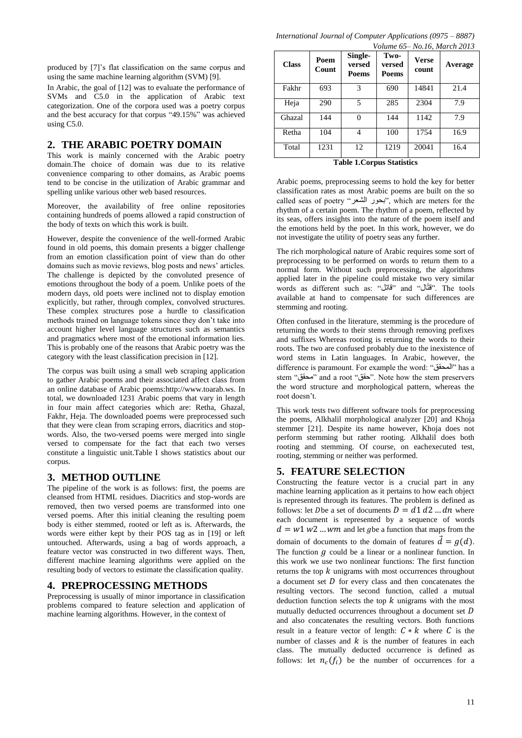produced by [7]'s flat classification on the same corpus and using the same machine learning algorithm (SVM) [9].

In Arabic, the goal of [12] was to evaluate the performance of SVMs and C5.0 in the application of Arabic text categorization. One of the corpora used was a poetry corpus and the best accuracy for that corpus "49.15%" was achieved using C5.0.

#### **2. THE ARABIC POETRY DOMAIN**

This work is mainly concerned with the Arabic poetry domain.The choice of domain was due to its relative convenience comparing to other domains, as Arabic poems tend to be concise in the utilization of Arabic grammar and spelling unlike various other web based resources.

Moreover, the availability of free online repositories containing hundreds of poems allowed a rapid construction of the body of texts on which this work is built.

However, despite the convenience of the well-formed Arabic found in old poems, this domain presents a bigger challenge from an emotion classification point of view than do other domains such as movie reviews, blog posts and news' articles. The challenge is depicted by the convoluted presence of emotions throughout the body of a poem. Unlike poets of the modern days, old poets were inclined not to display emotion explicitly, but rather, through complex, convolved structures. These complex structures pose a hurdle to classification methods trained on language tokens since they don't take into account higher level language structures such as semantics and pragmatics where most of the emotional information lies. This is probably one of the reasons that Arabic poetry was the category with the least classification precision in [12].

The corpus was built using a small web scraping application to gather Arabic poems and their associated affect class from an online database of Arabic poems[:http://www.toarab.ws.](http://www.toarab.ws/) In total, we downloaded 1231 Arabic poems that vary in length in four main affect categories which are: Retha, Ghazal, Fakhr, Heja. The downloaded poems were preprocessed such that they were clean from scraping errors, diacritics and stopwords. Also, the two-versed poems were merged into single versed to compensate for the fact that each two verses constitute a linguistic unit.Table I shows statistics about our corpus.

#### **3. METHOD OUTLINE**

The pipeline of the work is as follows: first, the poems are cleansed from HTML residues. Diacritics and stop-words are removed, then two versed poems are transformed into one versed poems. After this initial cleaning the resulting poem body is either stemmed, rooted or left as is. Afterwards, the words were either kept by their POS tag as in [19] or left untouched. Afterwards, using a bag of words approach, a feature vector was constructed in two different ways. Then, different machine learning algorithms were applied on the resulting body of vectors to estimate the classification quality.

## **4. PREPROCESSING METHODS**

Preprocessing is usually of minor importance in classification problems compared to feature selection and application of machine learning algorithms. However, in the context of

| $110.101$ , $11010101$ |               |                            |                         |                       |         |
|------------------------|---------------|----------------------------|-------------------------|-----------------------|---------|
| <b>Class</b>           | Poem<br>Count | Single-<br>versed<br>Poems | Two-<br>versed<br>Poems | <b>Verse</b><br>count | Average |
| Fakhr                  | 693           | 3                          | 690                     | 14841                 | 21.4    |
| Heja                   | 290           | 5                          | 285                     | 2304                  | 7.9     |
| Ghazal                 | 144           | 0                          | 144                     | 1142                  | 7.9     |
| Retha                  | 104           | 4                          | 100                     | 1754                  | 16.9    |
| Total                  | 1231          | 12                         | 1219                    | 20041                 | 16.4    |

**Table 1.Corpus Statistics**

Arabic poems, preprocessing seems to hold the key for better classification rates as most Arabic poems are built on the so called seas of poetry "الشعر بحور", which are meters for the rhythm of a certain poem. The rhythm of a poem, reflected by its seas, offers insights into the nature of the poem itself and the emotions held by the poet. In this work, however, we do not investigate the utility of poetry seas any further.

The rich morphological nature of Arabic requires some sort of preprocessing to be performed on words to return them to a normal form. Without such preprocessing, the algorithms applied later in the pipeline could mistake two very similar words as different such as: "قاتل "and "ال ّقت". The tools available at hand to compensate for such differences are stemming and rooting.

Often confused in the literature, stemming is the procedure of returning the words to their stems through removing prefixes and suffixes Whereas rooting is returning the words to their roots. The two are confused probably due to the inexistence of word stems in Latin languages. In Arabic, however, the difference is paramount. For example the word: "المحقق "has a stem "محقق "and a root "حقق". Note how the stem preservers the word structure and morphological pattern, whereas the root doesn't.

This work tests two different software tools for preprocessing the poems, Alkhalil morphological analyzer [20] and Khoja stemmer [21]. Despite its name however, Khoja does not perform stemming but rather rooting. Alkhalil does both rooting and stemming. Of course, on eachexecuted test, rooting, stemming or neither was performed.

## **5. FEATURE SELECTION**

Constructing the feature vector is a crucial part in any machine learning application as it pertains to how each object is represented through its features. The problem is defined as follows: let *D* be a set of documents  $D = d1 d2 ... dn$  where each document is represented by a sequence of words  $d = w1 w2 ... wm$  and let gbe a function that maps from the domain of documents to the domain of features  $\vec{d} = q(d)$ . The function  $q$  could be a linear or a nonlinear function. In this work we use two nonlinear functions: The first function returns the top  $k$  unigrams with most occurrences throughout a document set  $\overline{D}$  for every class and then concatenates the resulting vectors. The second function, called a mutual deduction function selects the top  $k$  unigrams with the most mutually deducted occurrences throughout a document set  $D$ and also concatenates the resulting vectors. Both functions result in a feature vector of length:  $C * k$  where C is the number of classes and  $k$  is the number of features in each class. The mutually deducted occurrence is defined as follows: let  $n_c(f_i)$  be the number of occurrences for a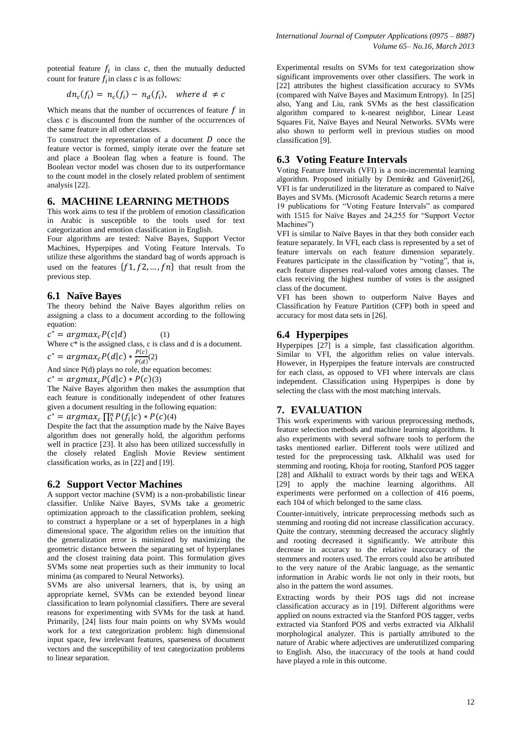potential feature  $f_i$  in class  $c$ , then the mutually deducted count for feature  $f_i$  in class c is as follows:

$$
dn_c(f_i) = n_c(f_i) - n_d(f_i), \text{ where } d \neq c
$$

Which means that the number of occurrences of feature  $f$  in class  $c$  is discounted from the number of the occurrences of the same feature in all other classes.

To construct the representation of a document  $D$  once the feature vector is formed, simply iterate over the feature set and place a Boolean flag when a feature is found. The Boolean vector model was chosen due to its outperformance to the count model in the closely related problem of sentiment analysis [22].

#### **6. MACHINE LEARNING METHODS**

This work aims to test if the problem of emotion classification in Arabic is susceptible to the tools used for text categorization and emotion classification in English.

Four algorithms are tested: Naïve Bayes, Support Vector Machines, Hyperpipes and Voting Feature Intervals. To utilize these algorithms the standard bag of words approach is used on the features  $\{f1, f2, ..., fn\}$  that result from the previous step.

#### **6.1 Naïve Bayes**

The theory behind the Naïve Bayes algorithm relies on assigning a class to a document according to the following equation:

 $c^* = argmax_c P(c|d)$  (1)

Where  $c^*$  is the assigned class, c is class and d is a document.

 $c^* = argmax_c P(d|c) * \frac{P}{R}$  $\frac{1}{P(d)}(2)$ 

And since  $P(d)$  plays no role, the equation becomes:

 $c^* = argmax_c P(d|c) * P(c)(3)$ 

The Naïve Bayes algorithm then makes the assumption that each feature is conditionally independent of other features given a document resulting in the following equation:

 $c^* = argmax_c \prod_{i=1}^{n} P(f_i|c) * P(c)$ (4)

Despite the fact that the assumption made by the Naïve Bayes algorithm does not generally hold, the algorithm performs well in practice [23]. It also has been utilized successfully in the closely related English Movie Review sentiment classification works, as in [22] and [19].

## **6.2 Support Vector Machines**

A support vector machine (SVM) is a non-probabilistic linear classifier. Unlike Naïve Bayes, SVMs take a geometric optimization approach to the classification problem, seeking to construct a hyperplane or a set of hyperplanes in a high dimensional space. The algorithm relies on the intuition that the generalization error is minimized by maximizing the geometric distance between the separating set of hyperplanes and the closest training data point. This formulation gives SVMs some neat properties such as their immunity to local minima (as compared to Neural Networks).

SVMs are also universal learners, that is, by using an appropriate kernel, SVMs can be extended beyond linear classification to learn polynomial classifiers. There are several reasons for experimenting with SVMs for the task at hand. Primarily, [24] lists four main points on why SVMs would work for a text categorization problem: high dimensional input space, few irrelevant features, sparseness of document vectors and the susceptibility of text categorization problems to linear separation.

Experimental results on SVMs for text categorization show significant improvements over other classifiers. The work in [22] attributes the highest classification accuracy to SVMs (compared with Naïve Bayes and Maximum Entropy). In [25] also, Yang and Liu, rank SVMs as the best classification algorithm compared to k-nearest neighbor, Linear Least Squares Fit, Naïve Bayes and Neural Networks. SVMs were also shown to perform well in previous studies on mood classification [9].

# **6.3 Voting Feature Intervals**

Voting Feature Intervals (VFI) is a non-incremental learning algorithm. Proposed initially by Demir**ö**z and Güvenir[26], VFI is far underutilized in the literature as compared to Naïve Bayes and SVMs. (Microsoft Academic Search returns a mere 19 publications for "Voting Feature Intervals" as compared with 1515 for Naïve Bayes and 24,255 for "Support Vector Machines")

VFI is similar to Naïve Bayes in that they both consider each feature separately. In VFI, each class is represented by a set of feature intervals on each feature dimension separately. Features participate in the classification by "voting", that is, each feature disperses real-valued votes among classes. The class receiving the highest number of votes is the assigned class of the document.

VFI has been shown to outperform Naïve Bayes and Classification by Feature Partition (CFP) both in speed and accuracy for most data sets in [26].

# **6.4 Hyperpipes**

Hyperpipes [27] is a simple, fast classification algorithm. Similar to VFI, the algorithm relies on value intervals. However, in Hyperpipes the feature intervals are constructed for each class, as opposed to VFI where intervals are class independent. Classification using Hyperpipes is done by selecting the class with the most matching intervals.

# **7. EVALUATION**

This work experiments with various preprocessing methods, feature selection methods and machine learning algorithms. It also experiments with several software tools to perform the tasks mentioned earlier. Different tools were utilized and tested for the preprocessing task. Alkhalil was used for stemming and rooting, Khoja for rooting, Stanford POS tagger [28] and Alkhalil to extract words by their tags and WEKA [29] to apply the machine learning algorithms. All experiments were performed on a collection of 416 poems, each 104 of which belonged to the same class.

Counter-intuitively, intricate preprocessing methods such as stemming and rooting did not increase classification accuracy. Quite the contrary, stemming decreased the accuracy slightly and rooting decreased it significantly. We attribute this decrease in accuracy to the relative inaccuracy of the stemmers and rooters used. The errors could also be attributed to the very nature of the Arabic language, as the semantic information in Arabic words lie not only in their roots, but also in the pattern the word assumes.

Extracting words by their POS tags did not increase classification accuracy as in [19]. Different algorithms were applied on nouns extracted via the Stanford POS tagger, verbs extracted via Stanford POS and verbs extracted via Alkhalil morphological analyzer. This is partially attributed to the nature of Arabic where adjectives are underutilized comparing to English. Also, the inaccuracy of the tools at hand could have played a role in this outcome.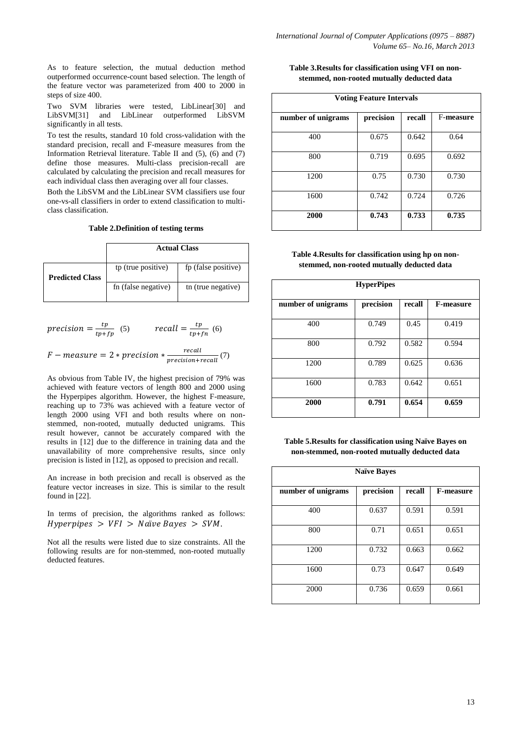As to feature selection, the mutual deduction method outperformed occurrence-count based selection. The length of the feature vector was parameterized from 400 to 2000 in steps of size 400.

Two SVM libraries were tested, LibLinear[30] and LibSVM[31] and LibLinear outperformed LibSVM significantly in all tests.

To test the results, standard 10 fold cross-validation with the standard precision, recall and F-measure measures from the Information Retrieval literature. Table II and (5), (6) and (7) define those measures. Multi-class precision-recall are calculated by calculating the precision and recall measures for each individual class then averaging over all four classes.

Both the LibSVM and the LibLinear SVM classifiers use four one-vs-all classifiers in order to extend classification to multiclass classification.

**Table 2.Definition of testing terms**

|                        | <b>Actual Class</b> |                     |  |  |
|------------------------|---------------------|---------------------|--|--|
| <b>Predicted Class</b> | tp (true positive)  | fp (false positive) |  |  |
|                        | fn (false negative) | th (true negative)  |  |  |

$$
precision = \frac{tp}{tp + fp} \quad (5) \qquad \qquad recall = \frac{tp}{tp + fn} \quad (6)
$$

$$
F-measure = 2 * precision * \frac{recall}{precision + recall}(7)
$$

As obvious from Table IV, the highest precision of 79% was achieved with feature vectors of length 800 and 2000 using the Hyperpipes algorithm. However, the highest F-measure, reaching up to 73% was achieved with a feature vector of length 2000 using VFI and both results where on nonstemmed, non-rooted, mutually deducted unigrams. This result however, cannot be accurately compared with the results in [12] due to the difference in training data and the unavailability of more comprehensive results, since only precision is listed in [12], as opposed to precision and recall.

An increase in both precision and recall is observed as the feature vector increases in size. This is similar to the result found in [22].

In terms of precision, the algorithms ranked as follows: Hyperpipes  $> VFI > Naïve$  Bayes  $>$  SVM.

Not all the results were listed due to size constraints. All the following results are for non-stemmed, non-rooted mutually deducted features.

| Table 3. Results for classification using VFI on non- |  |  |
|-------------------------------------------------------|--|--|
| stemmed, non-rooted mutually deducted data            |  |  |

| <b>Voting Feature Intervals</b> |           |        |           |  |  |
|---------------------------------|-----------|--------|-----------|--|--|
| number of unigrams              | precision | recall | F-measure |  |  |
| 400                             | 0.675     | 0.642  | 0.64      |  |  |
| 800                             | 0.719     | 0.695  | 0.692     |  |  |
| 1200                            | 0.75      | 0.730  | 0.730     |  |  |
| 1600                            | 0.742     | 0.724  | 0.726     |  |  |
| 2000                            | 0.743     | 0.733  | 0.735     |  |  |

| Table 4. Results for classification using hp on non- |
|------------------------------------------------------|
| stemmed, non-rooted mutually deducted data           |

| <b>HyperPipes</b>  |           |        |                  |  |  |
|--------------------|-----------|--------|------------------|--|--|
| number of unigrams | precision | recall | <b>F-measure</b> |  |  |
| 400                | 0.749     | 0.45   | 0.419            |  |  |
| 800                | 0.792     | 0.582  | 0.594            |  |  |
| 1200               | 0.789     | 0.625  | 0.636            |  |  |
| 1600               | 0.783     | 0.642  | 0.651            |  |  |
| 2000               | 0.791     | 0.654  | 0.659            |  |  |

**Table 5.Results for classification using Naïve Bayes on non-stemmed, non-rooted mutually deducted data**

| <b>Naïve Baves</b> |           |        |                  |  |  |
|--------------------|-----------|--------|------------------|--|--|
| number of unigrams | precision | recall | <b>F-measure</b> |  |  |
| 400                | 0.637     | 0.591  | 0.591            |  |  |
| 800                | 0.71      | 0.651  | 0.651            |  |  |
| 1200               | 0.732     | 0.663  | 0.662            |  |  |
| 1600               | 0.73      | 0.647  | 0.649            |  |  |
| 2000               | 0.736     | 0.659  | 0.661            |  |  |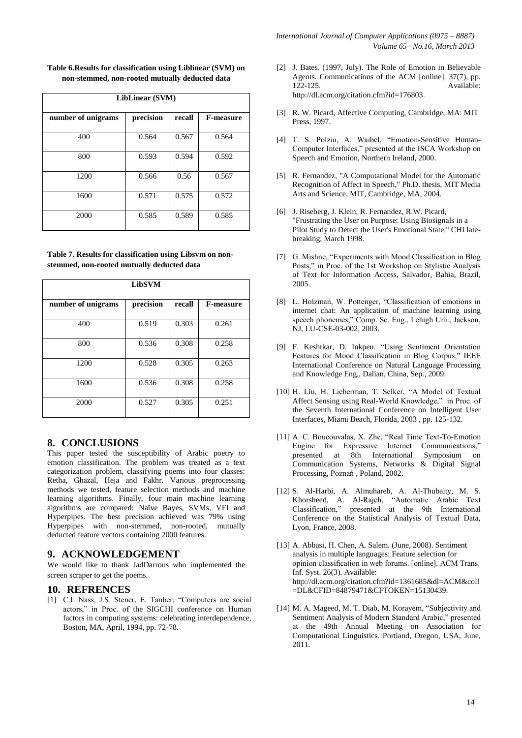**Table 6.Results for classification using Liblinear (SVM) on non-stemmed, non-rooted mutually deducted data**

| LibLinear (SVM)    |           |        |                  |  |  |
|--------------------|-----------|--------|------------------|--|--|
| number of unigrams | precision | recall | <b>F-measure</b> |  |  |
| 400                | 0.564     | 0.567  | 0.564            |  |  |
| 800                | 0.593     | 0.594  | 0.592            |  |  |
| 1200               | 0.566     | 0.56   | 0.567            |  |  |
| 1600               | 0.571     | 0.575  | 0.572            |  |  |
| 2000               | 0.585     | 0.589  | 0.585            |  |  |

| Table 7. Results for classification using Libsym on non- |
|----------------------------------------------------------|
| stemmed, non-rooted mutually deducted data               |

| <b>LibSVM</b>      |           |        |                  |  |  |
|--------------------|-----------|--------|------------------|--|--|
| number of unigrams | precision | recall | <b>F-measure</b> |  |  |
| 400                | 0.519     | 0.303  | 0.261            |  |  |
| 800                | 0.536     | 0.308  | 0.258            |  |  |
| 1200               | 0.528     | 0.305  | 0.263            |  |  |
| 1600               | 0.536     | 0.308  | 0.258            |  |  |
| 2000               | 0.527     | 0.305  | 0.251            |  |  |

## **8. CONCLUSIONS**

This paper tested the susceptibility of Arabic poetry to emotion classification. The problem was treated as a text categorization problem, classifying poems into four classes: Retha, Ghazal, Heja and Fakhr. Various preprocessing methods we tested, feature selection methods and machine learning algorithms. Finally, four main machine learning algorithms are compared: Naïve Bayes, SVMs, VFI and Hyperpipes. The best precision achieved was 79% using Hyperpipes with non-stemmed, non-rooted, mutually deducted feature vectors containing 2000 features.

## **9. ACKNOWLEDGEMENT**

We would like to thank JadDarrous who implemented the screen scraper to get the poems.

## **10. REFRENCES**

[1] C.I. Nass, J.S. Stener, E. Tanber, "Computers are social actors," in Proc. of the SIGCHI conference on Human factors in computing systems: celebrating interdependence, Boston, MA, April, 1994, pp. 72-78.

- [2] J. Bates. (1997, July). The Role of Emotion in Believable Agents. Communications of the ACM [online]. 37(7), pp. 122-125. Available: [http://dl.acm.org/citation.cfm?id=176803.](http://dl.acm.org/citation.cfm?id=176803)
- [3] R. W. Picard, Affective Computing, Cambridge, MA: MIT Press, 1997.
- [4] T. S. Polzin, A. Waibel, "Emotion-Sensitive Human-Computer Interfaces," presented at the ISCA Workshop on Speech and Emotion, Northern Ireland, 2000.
- [5] R. Fernandez, "A Computational Model for the Automatic Recognition of Affect in Speech," Ph.D. thesis, MIT Media Arts and Science, MIT, Cambridge, MA, 2004.
- [6] J. Riseberg, J. Klein, R. Fernandez, R.W. Picard, "Frustrating the User on Purpose: Using Biosignals in a Pilot Study to Detect the User's Emotional State," CHI latebreaking, March 1998.
- [7] G. Mishne, "Experiments with Mood Classification in Blog Posts," in Proc. of the 1st Workshop on Stylistic Analysis of Text for Information Access, Salvador, Bahia, Brazil, 2005.
- [8] L. Holzman, W. Pottenger, "Classification of emotions in internet chat: An application of machine learning using speech phonemes," Comp. Sc. Eng., Lehigh Uni., Jackson, NJ, LU-CSE-03-002, 2003.
- [9] [F. Keshtkar,](http://www.site.uottawa.ca/~akeshtka) [D. Inkpen.](http://www.site.uottawa.ca/~diana) "Using Sentiment Orientation Features for Mood Classification in Blog Corpus," IEEE International Conference on Natural Language Processing and Knowledge Eng., Dalian, China, Sep., 2009.
- [10] H. Liu, H. Lieberman, T. Selker, "A Model of Textual Affect Sensing using Real-World Knowledge," in Proc. of the Seventh International Conference on Intelligent User Interfaces, Miami Beach, Florida, 2003 , pp. 125-132.
- [11] A. C. Boucouvalas, X. Zhe, "Real Time Text-To-Emotion Engine for Expressive Internet Communications," presented at 8th International Symposium on Communication Systems, Networks & Digital Signal Processing, Poznań , Poland, 2002.
- [12] S. Al-Harbi, A. Almuhareb, A. Al-Thubaity, M. S. Khorsheed, A. Al-Rajeh, "Automatic Arabic Text Classification," presented at the 9th International Conference on the Statistical Analysis of Textual Data, Lyon, France, 2008.
- [13] A. Abbasi, H. Chen, A. Salem. (June, 2008). Sentiment analysis in multiple languages: Feature selection for opinion classification in web forums. [online]. ACM Trans. Inf. Syst. 26(3). Available: http://dl.acm.org/citation.cfm?id=1361685&dl=ACM&coll =DL&CFID=84879471&CFTOKEN=15130439.
- [14] [M. A. Mageed,](http://www.informatik.uni-trier.de/~ley/db/indices/a-tree/a/Abdul=Mageed:Muhammad.html) M. T. Diab, [M. Korayem,](http://www.informatik.uni-trier.de/~ley/db/indices/a-tree/k/Korayem:Mohammed.html) "Subjectivity and Sentiment Analysis of Modern Standard Arabic," presented at the 49th Annual Meeting on Association for Computational Linguistics. Portland, Oregon, USA, June, 2011.